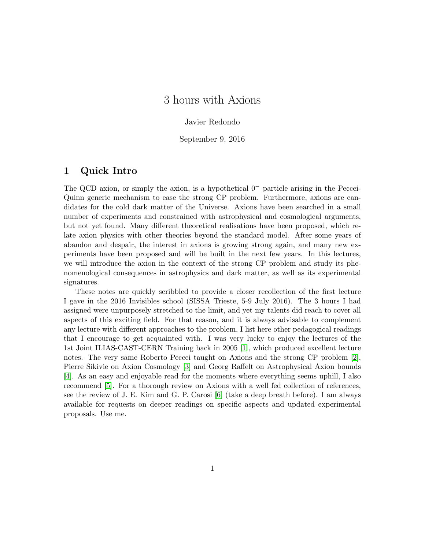# 3 hours with Axions

### Javier Redondo

September 9, 2016

## 1 Quick Intro

The QCD axion, or simply the axion, is a hypothetical  $0^-$  particle arising in the Peccei-Quinn generic mechanism to ease the strong CP problem. Furthermore, axions are candidates for the cold dark matter of the Universe. Axions have been searched in a small number of experiments and constrained with astrophysical and cosmological arguments, but not yet found. Many different theoretical realisations have been proposed, which relate axion physics with other theories beyond the standard model. After some years of abandon and despair, the interest in axions is growing strong again, and many new experiments have been proposed and will be built in the next few years. In this lectures, we will introduce the axion in the context of the strong CP problem and study its phenomenological consequences in astrophysics and dark matter, as well as its experimental signatures.

These notes are quickly scribbled to provide a closer recollection of the first lecture I gave in the 2016 Invisibles school (SISSA Trieste, 5-9 July 2016). The 3 hours I had assigned were unpurposely stretched to the limit, and yet my talents did reach to cover all aspects of this exciting field. For that reason, and it is always advisable to complement any lecture with different approaches to the problem, I list here other pedagogical readings that I encourage to get acquainted with. I was very lucky to enjoy the lectures of the 1st Joint ILIAS-CAST-CERN Training back in 2005 [\[1\]](#page-12-0), which produced excellent lecture notes. The very same Roberto Peccei taught on Axions and the strong CP problem [\[2\]](#page-12-1), Pierre Sikivie on Axion Cosmology [\[3\]](#page-12-2) and Georg Raffelt on Astrophysical Axion bounds [\[4\]](#page-12-3). As an easy and enjoyable read for the moments where everything seems uphill, I also recommend [\[5\]](#page-12-4). For a thorough review on Axions with a well fed collection of references, see the review of J. E. Kim and G. P. Carosi [\[6\]](#page-12-5) (take a deep breath before). I am always available for requests on deeper readings on specific aspects and updated experimental proposals. Use me.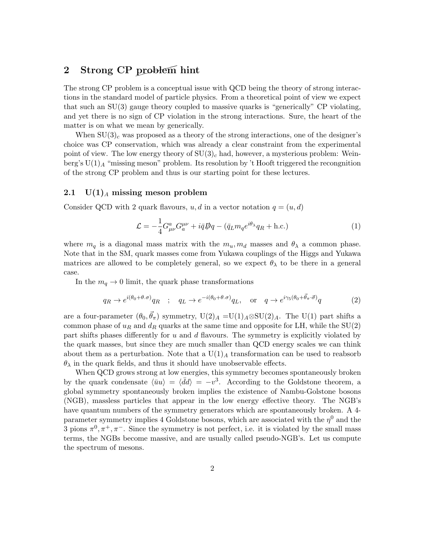# 2 Strong CP problem hint

The strong CP problem is a conceptual issue with QCD being the theory of strong interactions in the standard model of particle physics. From a theoretical point of view we expect that such an SU(3) gauge theory coupled to massive quarks is "generically" CP violating, and yet there is no sign of CP violation in the strong interactions. Sure, the heart of the matter is on what we mean by generically.

When  $SU(3)_c$  was proposed as a theory of the strong interactions, one of the designer's choice was CP conservation, which was already a clear constraint from the experimental point of view. The low energy theory of  $SU(3)_c$  had, however, a mysterious problem: Weinberg's  $U(1)_A$  "missing meson" problem. Its resolution by 't Hooft triggered the recongnition of the strong CP problem and thus is our starting point for these lectures.

#### 2.1  $U(1)<sub>A</sub>$  missing meson problem

Consider QCD with 2 quark flavours, u, d in a vector notation  $q = (u, d)$ 

<span id="page-1-1"></span><span id="page-1-0"></span>
$$
\mathcal{L} = -\frac{1}{4} G^{a}_{\mu\nu} G^{\mu\nu}_{a} + i\bar{q} \mathcal{D}q - (\bar{q}_{L} m_{q} e^{i\theta_{\lambda}} q_{R} + \text{h.c.})
$$
\n(1)

where  $m_q$  is a diagonal mass matrix with the  $m_u, m_d$  masses and  $\theta_\lambda$  a common phase. Note that in the SM, quark masses come from Yukawa couplings of the Higgs and Yukawa matrices are allowed to be completely general, so we expect  $\theta_{\lambda}$  to be there in a general case.

In the  $m_q \rightarrow 0$  limit, the quark phase transformations

$$
q_R \to e^{i(\theta_0 + \theta \cdot \sigma)} q_R
$$
 ;  $q_L \to e^{-i(\theta_0 + \theta \cdot \sigma)} q_L$ , or  $q \to e^{i\gamma_5(\theta_0 + \vec{\theta}_\pi \cdot \vec{\sigma})} q$  (2)

are a four-parameter  $(\theta_0, \vec{\theta}_\pi)$  symmetry,  $U(2)_A = U(1)_A \otimes SU(2)_A$ . The  $U(1)$  part shifts a common phase of  $u_R$  and  $d_R$  quarks at the same time and opposite for LH, while the SU(2) part shifts phases differently for  $u$  and  $d$  flavours. The symmetry is explicitly violated by the quark masses, but since they are much smaller than QCD energy scales we can think about them as a perturbation. Note that a  $U(1)_A$  transformation can be used to reabsorb  $\theta_{\lambda}$  in the quark fields, and thus it should have unobservable effects.

When QCD grows strong at low energies, this symmetry becomes spontaneously broken by the quark condensate  $\langle \bar{u}u \rangle = \langle \bar{d}d \rangle = -v^3$ . According to the Goldstone theorem, a global symmetry spontaneously broken implies the existence of Nambu-Golstone bosons (NGB), massless particles that appear in the low energy effective theory. The NGB's have quantum numbers of the symmetry generators which are spontaneously broken. A 4 parameter symmetry implies 4 Goldstone bosons, which are associated with the  $\eta^0$  and the 3 pions  $\pi^0$ ,  $\pi^+$ ,  $\pi^-$ . Since the symmetry is not perfect, i.e. it is violated by the small mass terms, the NGBs become massive, and are usually called pseudo-NGB's. Let us compute the spectrum of mesons.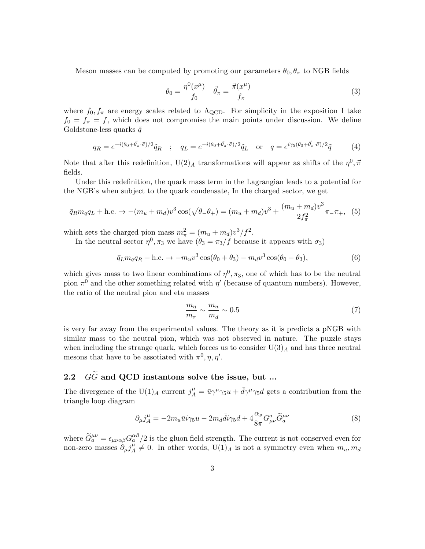Meson masses can be computed by promoting our parameters  $\theta_0$ ,  $\theta_{\pi}$  to NGB fields

<span id="page-2-0"></span>
$$
\theta_0 = \frac{\eta^0(x^\mu)}{f_0} \quad \vec{\theta}_\pi = \frac{\vec{\pi}(x^\mu)}{f_\pi} \tag{3}
$$

where  $f_0, f_\pi$  are energy scales related to  $\Lambda_{\text{QCD}}$ . For simplicity in the exposition I take  $f_0 = f_\pi = f$ , which does not compromise the main points under discussion. We define Goldstone-less quarks  $\tilde{q}$ 

$$
q_R = e^{+i(\theta_0 + \vec{\theta}_\pi \cdot \vec{\sigma})/2} \tilde{q}_R \quad ; \quad q_L = e^{-i(\theta_0 + \vec{\theta}_\pi \cdot \vec{\sigma})/2} \tilde{q}_L \quad \text{or} \quad q = e^{i\gamma_5(\theta_0 + \vec{\theta}_\pi \cdot \vec{\sigma})/2} \tilde{q} \tag{4}
$$

Note that after this redefinition,  $U(2)_A$  transformations will appear as shifts of the  $\eta^0, \vec{\pi}$ fields.

Under this redefinition, the quark mass term in the Lagrangian leads to a potential for the NGB's when subject to the quark condensate, In the charged sector, we get

$$
\bar{q}_R m_q q_L + \text{h.c.} \to -(m_u + m_d)v^3 \cos(\sqrt{\theta - \theta_+}) = (m_u + m_d)v^3 + \frac{(m_u + m_d)v^3}{2f_\pi^2} \pi_- \pi_+, \tag{5}
$$

which sets the charged pion mass  $m_{\pi}^2 = (m_u + m_d)v^3/f^2$ .

In the neutral sector  $\eta^0$ ,  $\pi_3$  we have  $(\theta_3 = \pi_3/f)$  because it appears with  $\sigma_3$ )

$$
\bar{q}_L m_q q_R + \text{h.c.} \to -m_u v^3 \cos(\theta_0 + \theta_3) - m_d v^3 \cos(\theta_0 - \theta_3),\tag{6}
$$

which gives mass to two linear combinations of  $\eta^0, \pi_3$ , one of which has to be the neutral pion  $\pi^0$  and the other something related with  $\eta'$  (because of quantum numbers). However, the ratio of the neutral pion and eta masses

$$
\frac{m_{\eta}}{m_{\pi}} \sim \frac{m_u}{m_d} \sim 0.5\tag{7}
$$

is very far away from the experimental values. The theory as it is predicts a pNGB with similar mass to the neutral pion, which was not observed in nature. The puzzle stays when including the strange quark, which forces us to consider  $U(3)_A$  and has three neutral mesons that have to be assotiated with  $\pi^0, \eta, \eta'$ .

# 2.2  $G\widetilde{G}$  and QCD instantons solve the issue, but ...

The divergence of the U(1)<sub>A</sub> current  $j_A^{\mu} = \bar{u}\gamma^{\mu}\gamma_5 u + \bar{d}\gamma^{\mu}\gamma_5 d$  gets a contribution from the triangle loop diagram

$$
\partial_{\mu}j_{A}^{\mu} = -2m_{u}\bar{u}i\gamma_{5}u - 2m_{d}\bar{d}i\gamma_{5}d + 4\frac{\alpha_{s}}{8\pi}G_{\mu\nu}^{a}\tilde{G}_{a}^{\mu\nu}
$$
\n(8)

where  $\widetilde{G}_a^{\mu\nu} = \epsilon_{\mu\nu\alpha\beta} G_a^{\alpha\beta}/2$  is the gluon field strength. The current is not conserved even for non-zero masses  $\partial_{\mu} j^{\mu}_{A}$  $A^{\mu}_{A} \neq 0$ . In other words,  $U(1)_{A}$  is not a symmetry even when  $m_{u}, m_{d}$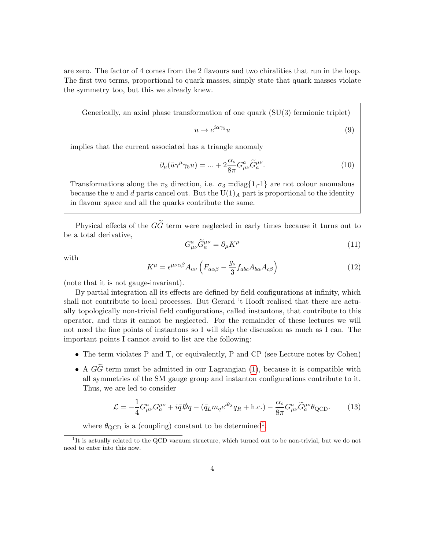are zero. The factor of 4 comes from the 2 flavours and two chiralities that run in the loop. The first two terms, proportional to quark masses, simply state that quark masses violate the symmetry too, but this we already knew.

Generically, an axial phase transformation of one quark (SU(3) fermionic triplet)

$$
u \to e^{i\alpha\gamma_5}u\tag{9}
$$

implies that the current associated has a triangle anomaly

$$
\partial_{\mu}(\bar{u}\gamma^{\mu}\gamma_{5}u) = \ldots + 2\frac{\alpha_{s}}{8\pi}G_{\mu\nu}^{a}\tilde{G}_{a}^{\mu\nu}.
$$
\n(10)

Transformations along the  $\pi_3$  direction, i.e.  $\sigma_3 = \text{diag}\{1, -1\}$  are not colour anomalous because the u and d parts cancel out. But the  $U(1)_A$  part is proportional to the identity in flavour space and all the quarks contribute the same.

Physical effects of the  $G\tilde{G}$  term were neglected in early times because it turns out to be a total derivative,

$$
G^{a}_{\mu\nu}\tilde{G}^{\mu\nu}_{a} = \partial_{\mu}K^{\mu} \tag{11}
$$

with

$$
K^{\mu} = \epsilon^{\mu\nu\alpha\beta} A_{a\nu} \left( F_{a\alpha\beta} - \frac{g_s}{3} f_{abc} A_{b\alpha} A_{c\beta} \right)
$$
 (12)

(note that it is not gauge-invariant).

By partial integration all its effects are defined by field configurations at infinity, which shall not contribute to local processes. But Gerard 't Hooft realised that there are actually topologically non-trivial field configurations, called instantons, that contribute to this operator, and thus it cannot be neglected. For the remainder of these lectures we will not need the fine points of instantons so I will skip the discussion as much as I can. The important points I cannot avoid to list are the following:

- The term violates P and T, or equivalently, P and CP (see Lecture notes by Cohen)
- A  $G\widetilde{G}$  term must be admitted in our Lagrangian [\(1\)](#page-1-0), because it is compatible with all symmetries of the SM gauge group and instanton configurations contribute to it. Thus, we are led to consider

$$
\mathcal{L} = -\frac{1}{4} G^a_{\mu\nu} G^{\mu\nu}_a + i \bar{q} \mathcal{D}q - (\bar{q}_L m_q e^{i\theta_\lambda} q_R + \text{h.c.}) - \frac{\alpha_s}{8\pi} G^a_{\mu\nu} \tilde{G}^{\mu\nu}_a \theta_{\text{QCD}}.
$$
 (13)

where  $\theta_{\rm QCD}$  is a (coupling) constant to be determined<sup>[1](#page-3-0)</sup>.

<span id="page-3-0"></span><sup>&</sup>lt;sup>1</sup>It is actually related to the QCD vacuum structure, which turned out to be non-trivial, but we do not need to enter into this now.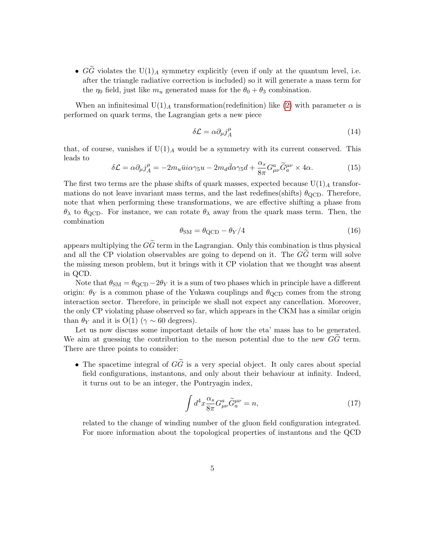•  $G\tilde{G}$  violates the U(1)<sub>A</sub> symmetry explicitly (even if only at the quantum level, i.e. after the triangle radiative correction is included) so it will generate a mass term for the  $\eta_0$  field, just like  $m_u$  generated mass for the  $\theta_0 + \theta_3$  combination.

When an infinitesimal U(1)<sub>A</sub> transformation(redefinition) like [\(2\)](#page-1-1) with parameter  $\alpha$  is performed on quark terms, the Lagrangian gets a new piece

$$
\delta \mathcal{L} = \alpha \partial_{\mu} j_A^{\mu} \tag{14}
$$

that, of course, vanishes if  $U(1)_A$  would be a symmetry with its current conserved. This leads to

$$
\delta \mathcal{L} = \alpha \partial_{\mu} j^{\mu}_{A} = -2m_{u} \bar{u} i \alpha \gamma_{5} u - 2m_{d} \bar{d} \alpha \gamma_{5} d + \frac{\alpha_{s}}{8\pi} G_{\mu\nu}^{a} \tilde{G}_{a}^{\mu\nu} \times 4\alpha.
$$
 (15)

The first two terms are the phase shifts of quark masses, expected because  $U(1)_A$  transformations do not leave invariant mass terms, and the last redefines(shifts)  $\theta_{\rm QCD}$ . Therefore, note that when performing these transformations, we are effective shifting a phase from  $\theta_{\lambda}$  to  $\theta_{\text{QCD}}$ . For instance, we can rotate  $\theta_{\lambda}$  away from the quark mass term. Then, the combination

$$
\theta_{\rm SM} = \theta_{\rm QCD} - \theta_Y/4\tag{16}
$$

appears multiplying the  $G\tilde{G}$  term in the Lagrangian. Only this combination is thus physical and all the CP violation observables are going to depend on it. The  $GG$  term will solve the missing meson problem, but it brings with it CP violation that we thought was absent in QCD.

Note that  $\theta_{\rm SM} = \theta_{\rm QCD} - 2\theta_Y$  it is a sum of two phases which in principle have a different origin:  $\theta_Y$  is a common phase of the Yukawa couplings and  $\theta_{\text{QCD}}$  comes from the strong interaction sector. Therefore, in principle we shall not expect any cancellation. Moreover, the only CP violating phase observed so far, which appears in the CKM has a similar origin than  $\theta_Y$  and it is  $O(1)$  ( $\gamma \sim 60$  degrees).

Let us now discuss some important details of how the eta' mass has to be generated. We aim at guessing the contribution to the meson potential due to the new  $\tilde{GG}$  term. There are three points to consider:

• The spacetime integral of  $G\tilde{G}$  is a very special object. It only cares about special field configurations, instantons, and only about their behaviour at infinity. Indeed, it turns out to be an integer, the Pontryagin index,

$$
\int d^4x \frac{\alpha_s}{8\pi} G^a_{\mu\nu} \tilde{G}^{\mu\nu}_a = n,\tag{17}
$$

related to the change of winding number of the gluon field configuration integrated. For more information about the topological properties of instantons and the QCD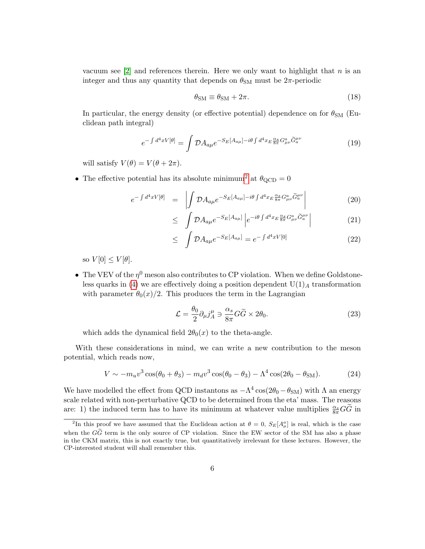vacuum see  $[2]$  and references therein. Here we only want to highlight that n is an integer and thus any quantity that depends on  $\theta_{\rm SM}$  must be  $2\pi$ -periodic

$$
\theta_{\rm SM} \equiv \theta_{\rm SM} + 2\pi. \tag{18}
$$

In particular, the energy density (or effective potential) dependence on for  $\theta_{\rm SM}$  (Euclidean path integral)

$$
e^{-\int d^4x V[\theta]} = \int \mathcal{D}A_{a\mu} e^{-S_E[A_{a\mu}]-i\theta \int d^4x_E \frac{\alpha_s}{8\pi} G^a_{\mu\nu} \tilde{G}^{\mu\nu}_a} \tag{19}
$$

will satisfy  $V(\theta) = V(\theta + 2\pi)$ .

• The effective potential has its absolute minimum<sup>[2](#page-5-0)</sup> at  $\theta_{\text{QCD}} = 0$ 

$$
e^{-\int d^4x V[\theta]} = \left| \int \mathcal{D}A_{a\mu} e^{-S_E[A_{a\mu}]-i\theta \int d^4x_E \frac{\alpha_s}{8\pi} G^a_{\mu\nu} \tilde{G}^{\mu\nu}_a} \right| \tag{20}
$$

$$
\leq \int \mathcal{D}A_{a\mu}e^{-S_E[A_{a\mu}]}\left|e^{-i\theta\int d^4x_E\frac{\alpha_s}{8\pi}G^a_{\mu\nu}\tilde{G}^{\mu\nu}_a}\right|\tag{21}
$$

$$
\leq \int \mathcal{D}A_{a\mu}e^{-S_E[A_{a\mu}]} = e^{-\int d^4x V[0]} \tag{22}
$$

so  $V[0] \leq V[\theta]$ .

• The VEV of the  $\eta^0$  meson also contributes to CP violation. When we define Goldstone-less quarks in [\(4\)](#page-2-0) we are effectively doing a position dependent  $U(1)_A$  transformation with parameter  $\theta_0(x)/2$ . This produces the term in the Lagrangian

$$
\mathcal{L} = \frac{\theta_0}{2} \partial_{\mu} j_A^{\mu} \ni \frac{\alpha_s}{8\pi} G \tilde{G} \times 2\theta_0.
$$
 (23)

which adds the dynamical field  $2\theta_0(x)$  to the theta-angle.

With these considerations in mind, we can write a new contribution to the meson potential, which reads now,

$$
V \sim -m_u v^3 \cos(\theta_0 + \theta_3) - m_d v^3 \cos(\theta_0 - \theta_3) - \Lambda^4 \cos(2\theta_0 - \theta_{\rm SM}).
$$
 (24)

We have modelled the effect from QCD instantons as  $-\Lambda^4 \cos(2\theta_0 - \theta_{\rm SM})$  with  $\Lambda$  an energy scale related with non-perturbative QCD to be determined from the eta' mass. The reasons are: 1) the induced term has to have its minimum at whatever value multiplies  $\frac{\alpha_s}{8\pi}G\tilde{G}$  in

<span id="page-5-0"></span><sup>&</sup>lt;sup>2</sup>In this proof we have assumed that the Euclidean action at  $\theta = 0$ ,  $S_E[A_\mu^a]$  is real, which is the case when the  $G\tilde{G}$  term is the only source of CP violation. Since the EW sector of the SM has also a phase in the CKM matrix, this is not exactly true, but quantitatively irrelevant for these lectures. However, the CP-interested student will shall remember this.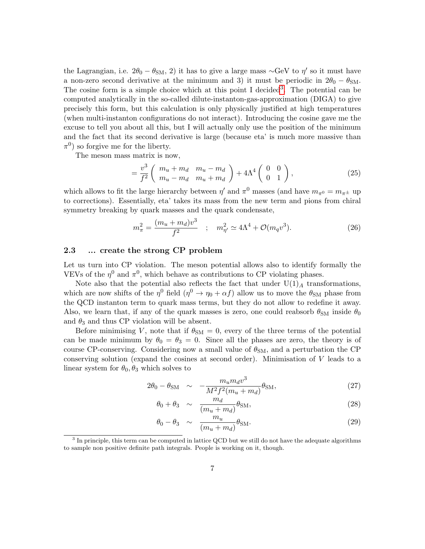the Lagrangian, i.e.  $2\theta_0 - \theta_{\rm SM}$ , 2) it has to give a large mass ~GeV to  $\eta'$  so it must have a non-zero second derivative at the minimum and 3) it must be periodic in  $2\theta_0 - \theta_{\rm SM}$ . The cosine form is a simple choice which at this point I decided<sup>[3](#page-6-0)</sup>. The potential can be computed analytically in the so-called dilute-instanton-gas-approximation (DIGA) to give precisely this form, but this calculation is only physically justified at high temperatures (when multi-instanton configurations do not interact). Introducing the cosine gave me the excuse to tell you about all this, but I will actually only use the position of the minimum and the fact that its second derivative is large (because eta' is much more massive than  $\pi^0$ ) so forgive me for the liberty.

The meson mass matrix is now,

$$
= \frac{v^3}{f^2} \left( \begin{array}{cc} m_u + m_d & m_u - m_d \\ m_u - m_d & m_u + m_d \end{array} \right) + 4\Lambda^4 \left( \begin{array}{cc} 0 & 0 \\ 0 & 1 \end{array} \right), \tag{25}
$$

which allows to fit the large hierarchy between  $\eta'$  and  $\pi^0$  masses (and have  $m_{\pi^0} = m_{\pi^{\pm}}$  up to corrections). Essentially, eta' takes its mass from the new term and pions from chiral symmetry breaking by quark masses and the quark condensate,

$$
m_{\pi}^{2} = \frac{(m_{u} + m_{d})v^{3}}{f^{2}} \quad ; \quad m_{\eta'}^{2} \simeq 4\Lambda^{4} + \mathcal{O}(m_{q}v^{3}). \tag{26}
$$

#### 2.3 ... create the strong CP problem

Let us turn into CP violation. The meson potential allows also to identify formally the VEVs of the  $\eta^0$  and  $\pi^0$ , which behave as contributions to CP violating phases.

Note also that the potential also reflects the fact that under  $U(1)_A$  transformations, which are now shifts of the  $\eta^0$  field  $(\eta^0 \to \eta_0 + \alpha f)$  allow us to move the  $\theta_{\rm SM}$  phase from the QCD instanton term to quark mass terms, but they do not allow to redefine it away. Also, we learn that, if any of the quark masses is zero, one could reabsorb  $\theta_{\rm SM}$  inside  $\theta_0$ and  $\theta_3$  and thus CP violation will be absent.

Before minimising V, note that if  $\theta_{\rm SM} = 0$ , every of the three terms of the potential can be made minimum by  $\theta_0 = \theta_3 = 0$ . Since all the phases are zero, the theory is of course CP-conserving. Considering now a small value of  $\theta_{\rm SM}$ , and a perturbation the CP conserving solution (expand the cosines at second order). Minimisation of  $V$  leads to a linear system for  $\theta_0$ ,  $\theta_3$  which solves to

$$
2\theta_0 - \theta_{\rm SM} \sim -\frac{m_u m_d v^3}{M^2 f^2 (m_u + m_d)} \theta_{\rm SM},\tag{27}
$$

$$
\theta_0 + \theta_3 \sim \frac{m_d}{(m_u + m_d)} \theta_{\rm SM}, \tag{28}
$$

$$
\theta_0 - \theta_3 \sim \frac{m_u}{(m_u + m_d)} \theta_{\text{SM}}.\tag{29}
$$

<span id="page-6-0"></span><sup>&</sup>lt;sup>3</sup> In principle, this term can be computed in lattice QCD but we still do not have the adequate algorithms to sample non positive definite path integrals. People is working on it, though.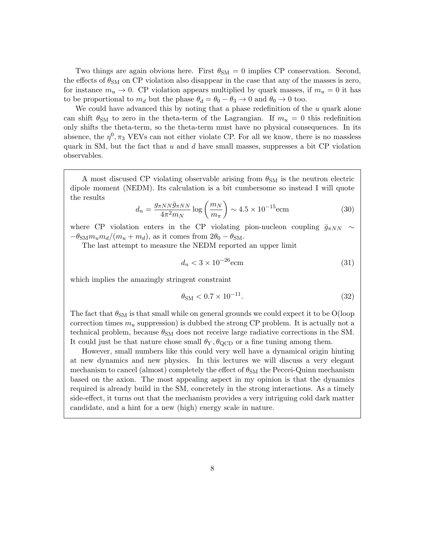Two things are again obvious here. First  $\theta_{SM} = 0$  implies CP conservation. Second, the effects of  $\theta_{\rm SM}$  on CP violation also disappear in the case that any of the masses is zero, for instance  $m_u \to 0$ . CP violation appears multiplied by quark masses, if  $m_u = 0$  it has to be proportional to  $m_d$  but the phase  $\theta_d = \theta_0 - \theta_3 \rightarrow 0$  and  $\theta_0 \rightarrow 0$  too.

We could have advanced this by noting that a phase redefinition of the  $u$  quark alone can shift  $\theta_{\rm SM}$  to zero in the theta-term of the Lagrangian. If  $m_u = 0$  this redefinition only shifts the theta-term, so the theta-term must have no physical consequences. In its absence, the  $\eta^0$ ,  $\pi_3$  VEVs can not either violate CP. For all we know, there is no massless quark in SM, but the fact that u and d have small masses, suppresses a bit CP violation observables.

A most discused CP violating observable arising from  $\theta_{\rm SM}$  is the neutron electric dipole moment (NEDM). Its calculation is a bit cumbersome so instead I will quote the results

$$
d_n = \frac{g_{\pi NN}\bar{g}_{\pi NN}}{4\pi^2 m_N} \log\left(\frac{m_N}{m_\pi}\right) \sim 4.5 \times 10^{-15} \text{ecm}
$$
 (30)

where CP violation enters in the CP violating pion-nucleon coupling  $\bar{g}_{\pi NN} \sim$  $-\theta_{\rm SM} m_u m_d/(m_u + m_d)$ , as it comes from  $2\theta_0 - \theta_{\rm SM}$ .

The last attempt to measure the NEDM reported an upper limit

$$
d_n < 3 \times 10^{-26} \text{ecm} \tag{31}
$$

which implies the amazingly stringent constraint

$$
\theta_{\rm SM} < 0.7 \times 10^{-11}.\tag{32}
$$

The fact that  $\theta_{\rm SM}$  is that small while on general grounds we could expect it to be O(loop correction times  $m_u$  suppression) is dubbed the strong CP problem. It is actually not a technical problem, because  $\theta_{SM}$  does not receive large radiative corrections in the SM. It could just be that nature chose small  $\theta_Y$ ,  $\theta_{\text{QCD}}$  or a fine tuning among them.

However, small numbers like this could very well have a dynamical origin hinting at new dynamics and new physics. In this lectures we will discuss a very elegant mechanism to cancel (almost) completely the effect of  $\theta_{SM}$  the Peccei-Quinn mechanism based on the axion. The most appealing aspect in my opinion is that the dynamics required is already build in the SM, concretely in the strong interactions. As a timely side-effect, it turns out that the mechanism provides a very intriguing cold dark matter candidate, and a hint for a new (high) energy scale in nature.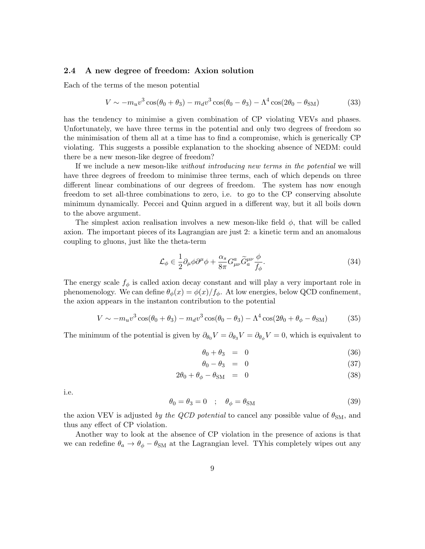#### 2.4 A new degree of freedom: Axion solution

Each of the terms of the meson potential

$$
V \sim -m_{u}v^{3}\cos(\theta_{0} + \theta_{3}) - m_{d}v^{3}\cos(\theta_{0} - \theta_{3}) - \Lambda^{4}\cos(2\theta_{0} - \theta_{SM})
$$
 (33)

has the tendency to minimise a given combination of CP violating VEVs and phases. Unfortunately, we have three terms in the potential and only two degrees of freedom so the minimisation of them all at a time has to find a compromise, which is generically CP violating. This suggests a possible explanation to the shocking absence of NEDM: could there be a new meson-like degree of freedom?

If we include a new meson-like without introducing new terms in the potential we will have three degrees of freedom to minimise three terms, each of which depends on three different linear combinations of our degrees of freedom. The system has now enough freedom to set all-three combinations to zero, i.e. to go to the CP conserving absolute minimum dynamically. Peccei and Quinn argued in a different way, but it all boils down to the above argument.

The simplest axion realisation involves a new meson-like field  $\phi$ , that will be called axion. The important pieces of its Lagrangian are just 2: a kinetic term and an anomalous coupling to gluons, just like the theta-term

<span id="page-8-0"></span>
$$
\mathcal{L}_{\phi} \in \frac{1}{2} \partial_{\mu} \phi \partial^{\mu} \phi + \frac{\alpha_s}{8\pi} G^a_{\mu\nu} \tilde{G}^{\mu\nu}_a \frac{\phi}{f_{\phi}}.
$$
\n(34)

The energy scale  $f_{\phi}$  is called axion decay constant and will play a very important role in phenomenology. We can define  $\theta_{\phi}(x) = \phi(x)/f_{\phi}$ . At low energies, below QCD confinement, the axion appears in the instanton contribution to the potential

$$
V \sim -m_u v^3 \cos(\theta_0 + \theta_3) - m_d v^3 \cos(\theta_0 - \theta_3) - \Lambda^4 \cos(2\theta_0 + \theta_\phi - \theta_{\rm SM})
$$
 (35)

The minimum of the potential is given by  $\partial_{\theta_0} V = \partial_{\theta_3} V = \partial_{\theta_\phi} V = 0$ , which is equivalent to

$$
\theta_0 + \theta_3 = 0 \tag{36}
$$

$$
\theta_0 - \theta_3 = 0 \tag{37}
$$

$$
2\theta_0 + \theta_\phi - \theta_{\rm SM} = 0 \tag{38}
$$

i.e.

$$
\theta_0 = \theta_3 = 0 \quad ; \quad \theta_\phi = \theta_{\rm SM} \tag{39}
$$

the axion VEV is adjusted by the QCD potential to cancel any possible value of  $\theta_{\rm SM}$ , and thus any effect of CP violation.

Another way to look at the absence of CP violation in the presence of axions is that we can redefine  $\theta_a \rightarrow \theta_\phi - \theta_{\rm SM}$  at the Lagrangian level. TYhis completely wipes out any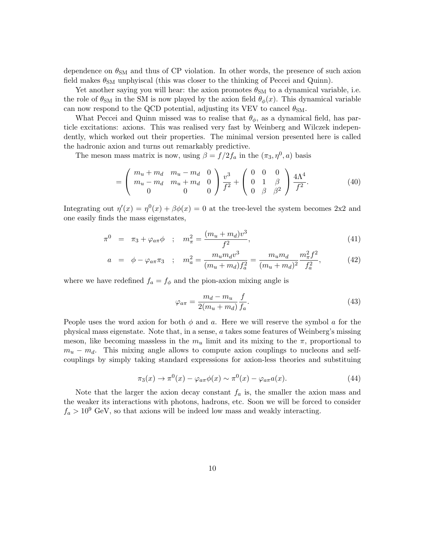dependence on  $\theta_{\rm SM}$  and thus of CP violation. In other words, the presence of such axion field makes  $\theta_{\rm SM}$  unphyiscal (this was closer to the thinking of Peccei and Quinn).

Yet another saying you will hear: the axion promotes  $\theta_{\rm SM}$  to a dynamical variable, i.e. the role of  $\theta_{\rm SM}$  in the SM is now played by the axion field  $\theta_{\phi}(x)$ . This dynamical variable can now respond to the QCD potential, adjusting its VEV to cancel  $\theta_{\rm SM}$ .

What Peccei and Quinn missed was to realise that  $\theta_{\phi}$ , as a dynamical field, has particle excitations: axions. This was realised very fast by Weinberg and Wilczek independently, which worked out their properties. The minimal version presented here is called the hadronic axion and turns out remarkably predictive.

The meson mass matrix is now, using  $\beta = f/2f_a$  in the  $(\pi_3, \eta^0, a)$  basis

$$
= \begin{pmatrix} m_u + m_d & m_u - m_d & 0 \\ m_u - m_d & m_u + m_d & 0 \\ 0 & 0 & 0 \end{pmatrix} \frac{v^3}{f^2} + \begin{pmatrix} 0 & 0 & 0 \\ 0 & 1 & \beta \\ 0 & \beta & \beta^2 \end{pmatrix} \frac{4\Lambda^4}{f^2}.
$$
 (40)

Integrating out  $\eta'(x) = \eta^{0}(x) + \beta \phi(x) = 0$  at the tree-level the system becomes 2x2 and one easily finds the mass eigenstates,

$$
\pi^0 = \pi_3 + \varphi_{a\pi}\phi \quad ; \quad m_\pi^2 = \frac{(m_u + m_d)v^3}{f^2}, \tag{41}
$$

$$
a = \phi - \varphi_{a\pi}\pi_3 \quad ; \quad m_a^2 = \frac{m_u m_d v^3}{(m_u + m_d)f_a^2} = \frac{m_u m_d}{(m_u + m_d)^2} \frac{m_\pi^2 f^2}{f_a^2},\tag{42}
$$

where we have redefined  $f_a = f_\phi$  and the pion-axion mixing angle is

$$
\varphi_{a\pi} = \frac{m_d - m_u}{2(m_u + m_d)} \frac{f}{f_a}.\tag{43}
$$

People uses the word axion for both  $\phi$  and a. Here we will reserve the symbol a for the physical mass eigenstate. Note that, in a sense, a takes some features of Weinberg's missing meson, like becoming massless in the  $m_u$  limit and its mixing to the  $\pi$ , proportional to  $m_u - m_d$ . This mixing angle allows to compute axion couplings to nucleons and selfcouplings by simply taking standard expressions for axion-less theories and substituing

$$
\pi_3(x) \to \pi^0(x) - \varphi_{a\pi}\phi(x) \sim \pi^0(x) - \varphi_{a\pi}a(x). \tag{44}
$$

Note that the larger the axion decay constant  $f_a$  is, the smaller the axion mass and the weaker its interactions with photons, hadrons, etc. Soon we will be forced to consider  $f_a > 10^9$  GeV, so that axions will be indeed low mass and weakly interacting.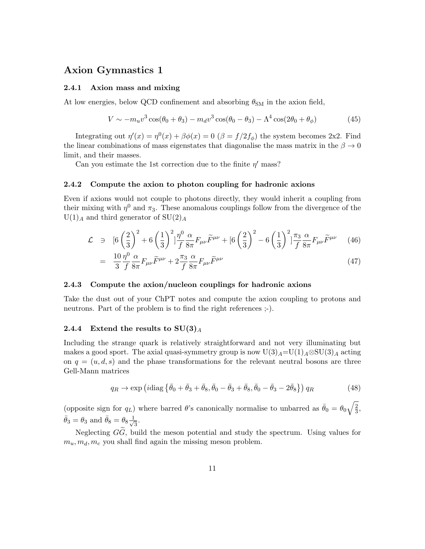## Axion Gymnastics 1

#### 2.4.1 Axion mass and mixing

At low energies, below QCD confinement and absorbing  $\theta_{\rm SM}$  in the axion field,

$$
V \sim -m_u v^3 \cos(\theta_0 + \theta_3) - m_d v^3 \cos(\theta_0 - \theta_3) - \Lambda^4 \cos(2\theta_0 + \theta_\phi)
$$
 (45)

Integrating out  $\eta'(x) = \eta^{0}(x) + \beta \phi(x) = 0$  ( $\beta = f/2f_{\phi}$ ) the system becomes 2x2. Find the linear combinations of mass eigenstates that diagonalise the mass matrix in the  $\beta \to 0$ limit, and their masses.

Can you estimate the 1st correction due to the finite  $\eta'$  mass?

#### 2.4.2 Compute the axion to photon coupling for hadronic axions

Even if axions would not couple to photons directly, they would inherit a coupling from their mixing with  $\eta^0$  and  $\pi_3$ . These anomalous couplings follow from the divergence of the  $U(1)$ <sub>A</sub> and third generator of  $SU(2)$ <sub>A</sub>

$$
\mathcal{L} \quad \ni \quad [6\left(\frac{2}{3}\right)^2 + 6\left(\frac{1}{3}\right)^2] \frac{\eta^0}{f} \frac{\alpha}{8\pi} F_{\mu\nu} \widetilde{F}^{\mu\nu} + [6\left(\frac{2}{3}\right)^2 - 6\left(\frac{1}{3}\right)^2] \frac{\pi_3}{f} \frac{\alpha}{8\pi} F_{\mu\nu} \widetilde{F}^{\mu\nu} \tag{46}
$$

$$
= \frac{10}{3} \frac{\eta^0}{f} \frac{\alpha}{8\pi} F_{\mu\nu} \widetilde{F}^{\mu\nu} + 2 \frac{\pi_3}{f} \frac{\alpha}{8\pi} F_{\mu\nu} \widetilde{F}^{\mu\nu} \tag{47}
$$

#### 2.4.3 Compute the axion/nucleon couplings for hadronic axions

Take the dust out of your ChPT notes and compute the axion coupling to protons and neutrons. Part of the problem is to find the right references ;-).

#### 2.4.4 Extend the results to  $SU(3)_A$

Including the strange quark is relatively straightforward and not very illuminating but makes a good sport. The axial quasi-symmetry group is now  $U(3)_A=U(1)_A\otimes SU(3)_A$  acting on  $q = (u, d, s)$  and the phase transformations for the relevant neutral bosons are three Gell-Mann matrices

$$
q_R \to \exp\left(i \text{diag}\left\{\bar{\theta}_0 + \bar{\theta}_3 + \bar{\theta}_8, \bar{\theta}_0 - \bar{\theta}_3 + \bar{\theta}_8, \bar{\theta}_0 - \bar{\theta}_3 - 2\bar{\theta}_8\right\}\right) q_R \tag{48}
$$

(opposite sign for  $q_L$ ) where barred  $\theta$ 's canonically normalise to unbarred as  $\bar{\theta}_0 = \theta_0 \sqrt{\frac{2}{3}}$  $\frac{2}{3}$ ,  $\bar{\theta}_3 = \theta_3$  and  $\bar{\theta}_8 = \theta_8 \frac{1}{\sqrt{2}}$  $\frac{1}{3}$ .

Neglecting  $G\tilde{G}$ , build the meson potential and study the spectrum. Using values for  $m_u, m_d, m_c$  you shall find again the missing meson problem.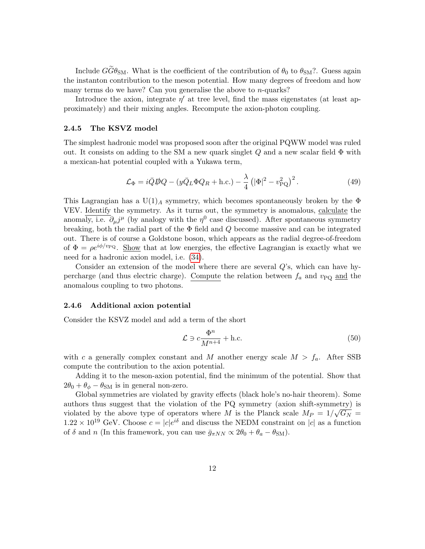Include  $\tilde{GG}\theta_{\rm SM}$ . What is the coefficient of the contribution of  $\theta_0$  to  $\theta_{\rm SM}$ ?. Guess again the instanton contribution to the meson potential. How many degrees of freedom and how many terms do we have? Can you generalise the above to  $n$ -quarks?

Introduce the axion, integrate  $\eta'$  at tree level, find the mass eigenstates (at least approximately) and their mixing angles. Recompute the axion-photon coupling.

#### 2.4.5 The KSVZ model

The simplest hadronic model was proposed soon after the original PQWW model was ruled out. It consists on adding to the SM a new quark singlet  $Q$  and a new scalar field  $\Phi$  with a mexican-hat potential coupled with a Yukawa term,

$$
\mathcal{L}_{\Phi} = i\bar{Q}\mathcal{D}Q - (y\bar{Q}_L\Phi Q_R + \text{h.c.}) - \frac{\lambda}{4} (|\Phi|^2 - v_{\text{PQ}}^2)^2.
$$
 (49)

This Lagrangian has a U(1)<sub>A</sub> symmetry, which becomes spontaneously broken by the  $\Phi$ VEV. Identify the symmetry. As it turns out, the symmetry is anomalous, calculate the anomaly, i.e.  $\partial_{\mu}j^{\mu}$  (by analogy with the  $\eta^{0}$  case discussed). After spontaneous symmetry breaking, both the radial part of the  $\Phi$  field and  $Q$  become massive and can be integrated out. There is of course a Goldstone boson, which appears as the radial degree-of-freedom of  $\Phi = \rho e^{i\phi/v_{\rm PQ}}$ . Show that at low energies, the effective Lagrangian is exactly what we need for a hadronic axion model, i.e. [\(34\)](#page-8-0).

Consider an extension of the model where there are several Q's, which can have hypercharge (and thus electric charge). Compute the relation between  $f_a$  and  $v_{\rm PQ}$  and the anomalous coupling to two photons.

#### 2.4.6 Additional axion potential

Consider the KSVZ model and add a term of the short

$$
\mathcal{L} \ni c \frac{\Phi^n}{M^{n+4}} + \text{h.c.} \tag{50}
$$

with c a generally complex constant and M another energy scale  $M > f_a$ . After SSB compute the contribution to the axion potential.

Adding it to the meson-axion potential, find the minimum of the potential. Show that  $2\theta_0 + \theta_{\phi} - \theta_{\rm SM}$  is in general non-zero.

Global symmetries are violated by gravity effects (black hole's no-hair theorem). Some authors thus suggest that the violation of the PQ symmetry (axion shift-symmetry) is violated by the above type of operators where M is the Planck scale  $M_P = 1/\sqrt{G_N}$  $1.22 \times 10^{19}$  GeV. Choose  $c = |c|e^{i\delta}$  and discuss the NEDM constraint on |c| as a function of  $\delta$  and n (In this framework, you can use  $\bar{g}_{\pi NN} \propto 2\theta_0 + \theta_a - \theta_{\text{SM}}$ ).